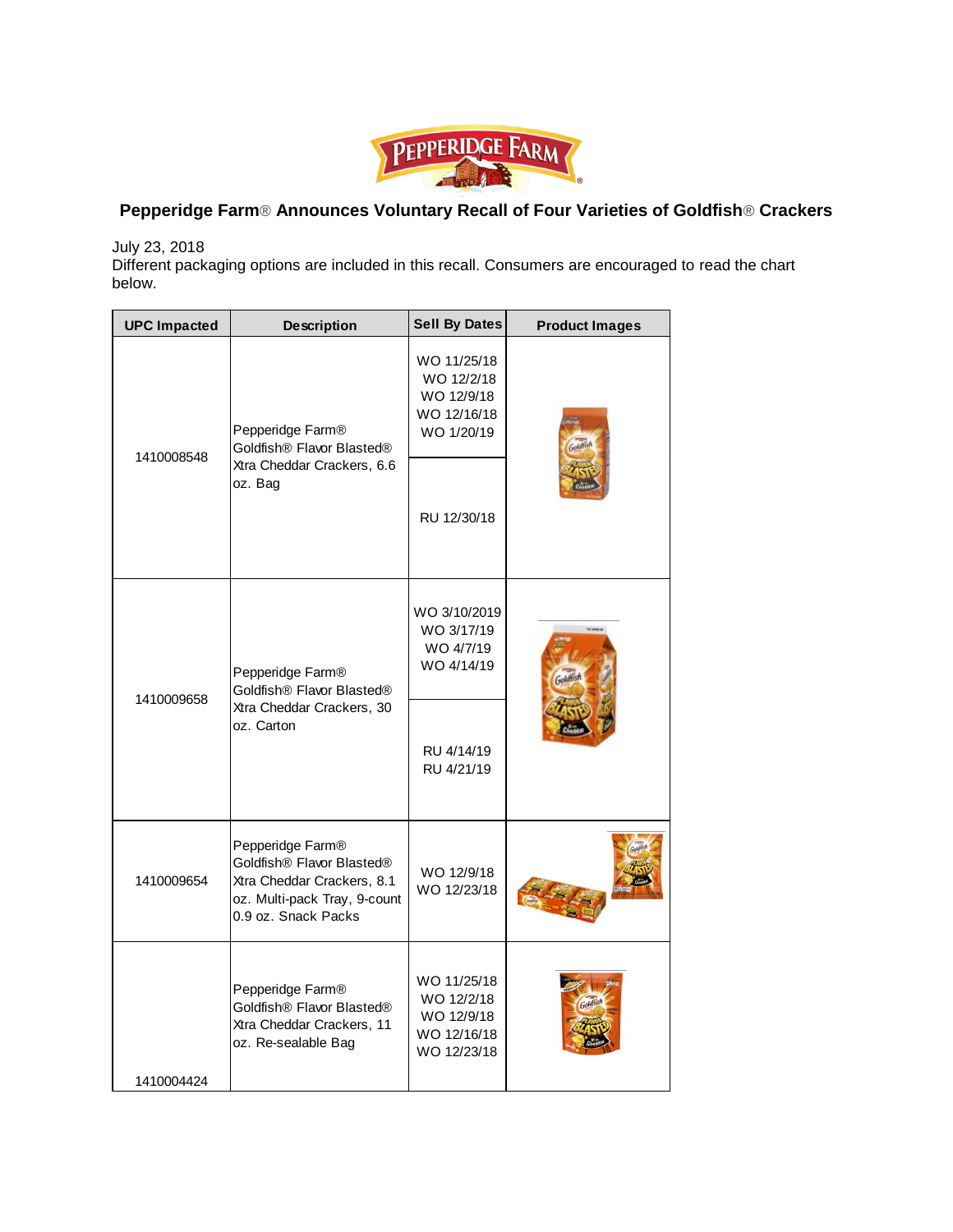

## **Pepperidge Farm**® **Announces Voluntary Recall of Four Varieties of Goldfish**® **Crackers**

July 23, 2018

Different packaging options are included in this recall. Consumers are encouraged to read the chart below.

| <b>UPC Impacted</b> | <b>Description</b>                                                                                                                 | <b>Sell By Dates</b>                                                  | <b>Product Images</b> |
|---------------------|------------------------------------------------------------------------------------------------------------------------------------|-----------------------------------------------------------------------|-----------------------|
| 1410008548          | Pepperidge Farm®<br>Goldfish® Flavor Blasted®<br>Xtra Cheddar Crackers, 6.6<br>oz. Bag                                             | WO 11/25/18<br>WO 12/2/18<br>WO 12/9/18<br>WO 12/16/18<br>WO 1/20/19  |                       |
|                     |                                                                                                                                    | RU 12/30/18                                                           |                       |
| 1410009658          | Pepperidge Farm <sup>®</sup><br>Goldfish® Flavor Blasted®<br>Xtra Cheddar Crackers, 30<br>oz. Carton                               | WO 3/10/2019<br>WO 3/17/19<br>WO 4/7/19<br>WO 4/14/19                 |                       |
|                     |                                                                                                                                    | RU 4/14/19<br>RU 4/21/19                                              |                       |
| 1410009654          | Pepperidge Farm®<br>Goldfish® Flavor Blasted®<br>Xtra Cheddar Crackers, 8.1<br>oz. Multi-pack Tray, 9-count<br>0.9 oz. Snack Packs | WO 12/9/18<br>WO 12/23/18                                             |                       |
| 1410004424          | Pepperidge Farm®<br>Goldfish® Flavor Blasted®<br>Xtra Cheddar Crackers, 11<br>oz. Re-sealable Bag                                  | WO 11/25/18<br>WO 12/2/18<br>WO 12/9/18<br>WO 12/16/18<br>WO 12/23/18 |                       |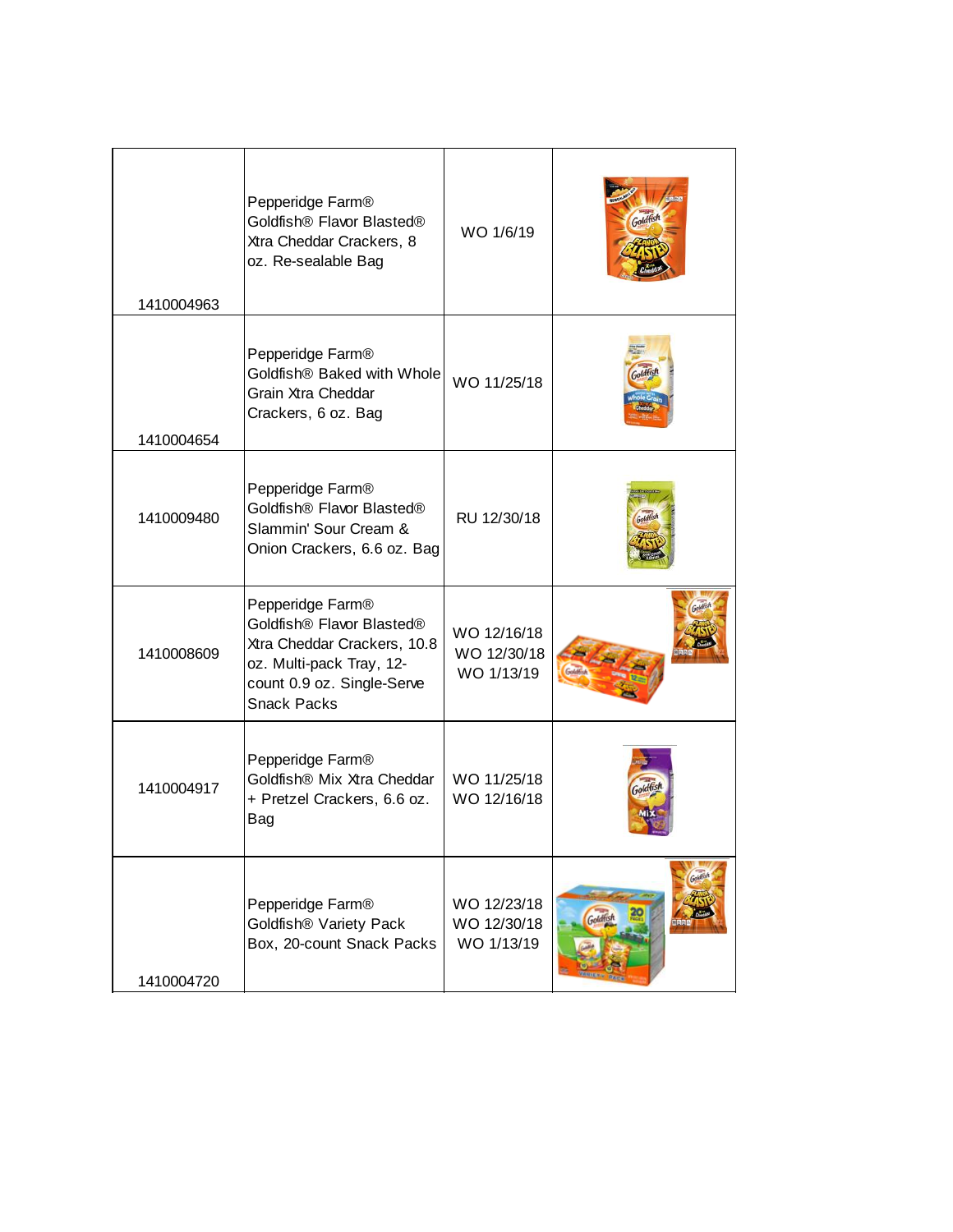| 1410004963 | Pepperidge Farm®<br>Goldfish <sup>®</sup> Flavor Blasted <sup>®</sup><br>Xtra Cheddar Crackers, 8<br>oz. Re-sealable Bag                                                             | WO 1/6/19                                |          |
|------------|--------------------------------------------------------------------------------------------------------------------------------------------------------------------------------------|------------------------------------------|----------|
| 1410004654 | Pepperidge Farm®<br>Goldfish® Baked with Whole<br>Grain Xtra Cheddar<br>Crackers, 6 oz. Bag                                                                                          | WO 11/25/18                              |          |
| 1410009480 | Pepperidge Farm®<br>Goldfish® Flavor Blasted®<br>Slammin' Sour Cream &<br>Onion Crackers, 6.6 oz. Bag                                                                                | RU 12/30/18                              |          |
| 1410008609 | Pepperidge Farm®<br>Goldfish <sup>®</sup> Flavor Blasted <sup>®</sup><br>Xtra Cheddar Crackers, 10.8<br>oz. Multi-pack Tray, 12-<br>count 0.9 oz. Single-Serve<br><b>Snack Packs</b> | WO 12/16/18<br>WO 12/30/18<br>WO 1/13/19 |          |
| 1410004917 | Pepperidge Farm®<br>Goldfish® Mix Xtra Cheddar<br>+ Pretzel Crackers, 6.6 oz.<br>Bag                                                                                                 | WO 11/25/18<br>WO 12/16/18               |          |
| 1410004720 | Pepperidge Farm®<br>Goldfish® Variety Pack<br>Box, 20-count Snack Packs                                                                                                              | WO 12/23/18<br>WO 12/30/18<br>WO 1/13/19 | Goldfish |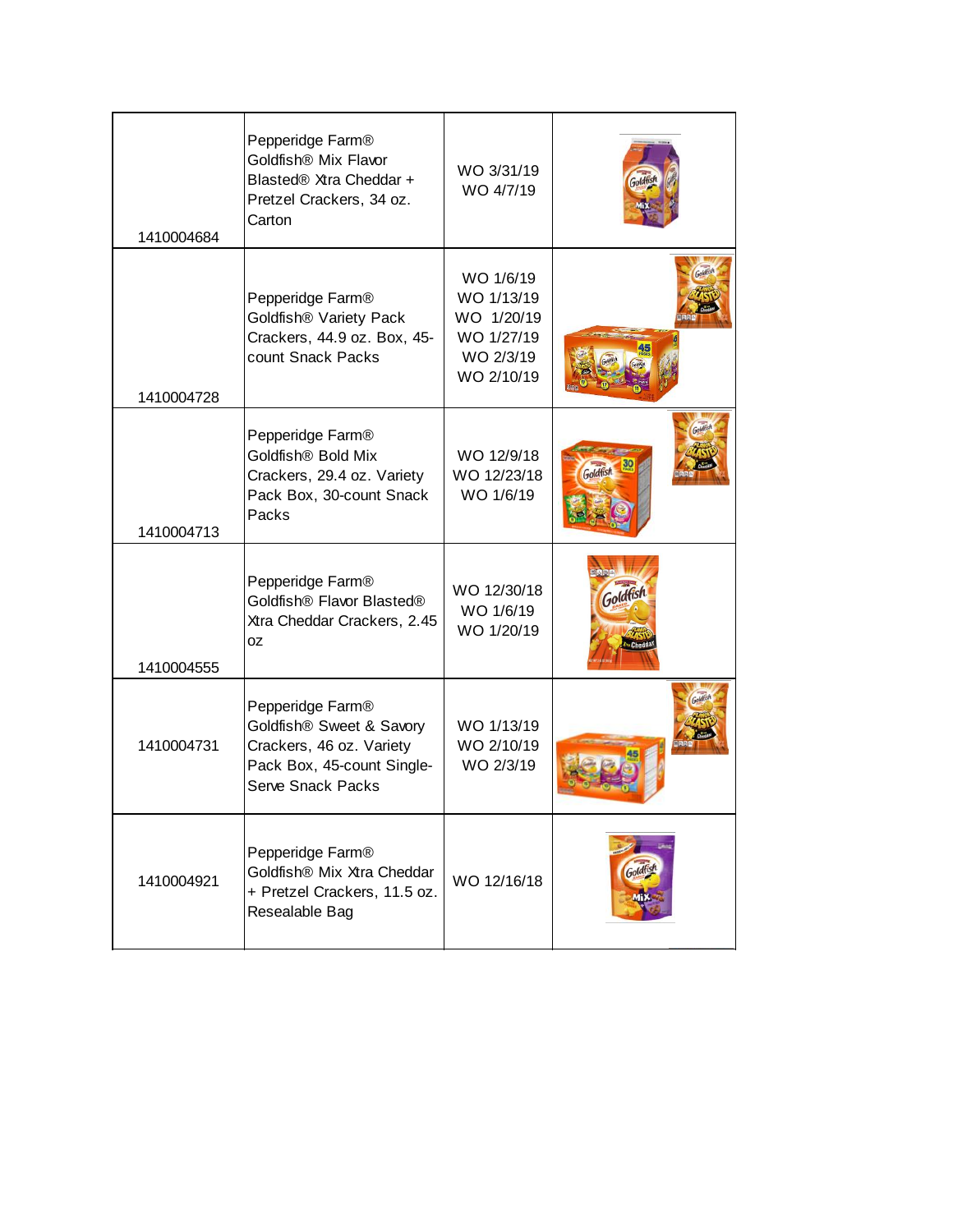| 1410004684 | Pepperidge Farm®<br>Goldfish® Mix Flavor<br>Blasted® Xtra Cheddar +<br>Pretzel Crackers, 34 oz.<br>Carton                          | WO 3/31/19<br>WO 4/7/19                                                        |          |
|------------|------------------------------------------------------------------------------------------------------------------------------------|--------------------------------------------------------------------------------|----------|
| 1410004728 | Pepperidge Farm®<br>Goldfish® Variety Pack<br>Crackers, 44.9 oz. Box, 45-<br>count Snack Packs                                     | WO 1/6/19<br>WO 1/13/19<br>WO 1/20/19<br>WO 1/27/19<br>WO 2/3/19<br>WO 2/10/19 |          |
| 1410004713 | Pepperidge Farm®<br>Goldfish® Bold Mix<br>Crackers, 29.4 oz. Variety<br>Pack Box, 30-count Snack<br>Packs                          | WO 12/9/18<br>WO 12/23/18<br>WO 1/6/19                                         |          |
| 1410004555 | Pepperidge Farm®<br>Goldfish® Flavor Blasted®<br>Xtra Cheddar Crackers, 2.45<br>0Z                                                 | WO 12/30/18<br>WO 1/6/19<br>WO 1/20/19                                         | Goldfish |
| 1410004731 | Pepperidge Farm®<br>Goldfish® Sweet & Savory<br>Crackers, 46 oz. Variety<br>Pack Box, 45-count Single-<br><b>Serve Snack Packs</b> | WO 1/13/19<br>WO 2/10/19<br>WO 2/3/19                                          |          |
| 1410004921 | Pepperidge Farm®<br>Goldfish® Mix Xtra Cheddar<br>+ Pretzel Crackers, 11.5 oz.<br>Resealable Bag                                   | WO 12/16/18                                                                    |          |